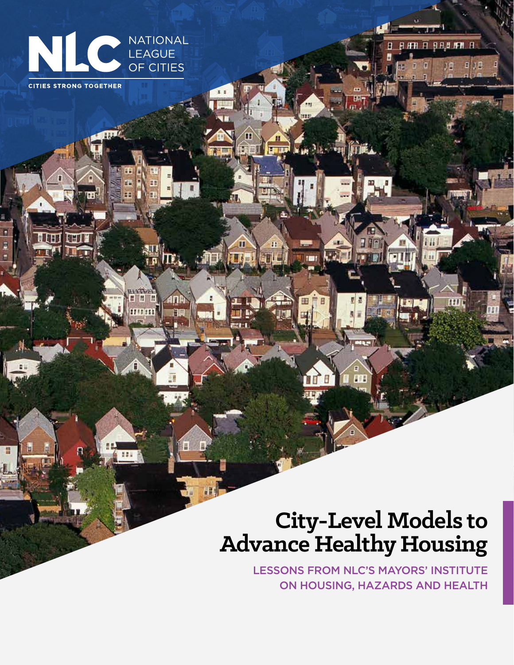

m

**HIMIR** unm m.

٦E

**CITIES STRONG TOGETHER** 

# **City-Level Models to Advance Healthy Housing**

LESSONS FROM NLC'S MAYORS' INSTITUTE ON HOUSING, HAZARDS AND HEALTH

**FI 9 A 8 1FM R** 

工具

B

Я **FH** 

MAN PIER THE

1881

旧峰

**M-**

11

Œ

**TILL** 

可可

ाणि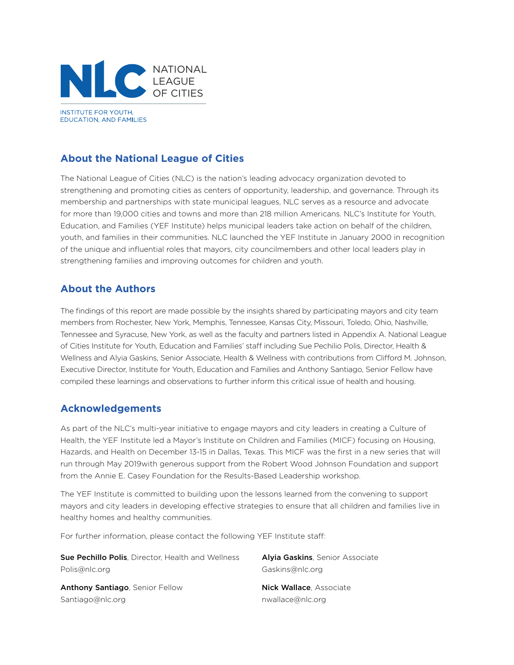

## **About the National League of Cities**

The National League of Cities (NLC) is the nation's leading advocacy organization devoted to strengthening and promoting cities as centers of opportunity, leadership, and governance. Through its membership and partnerships with state municipal leagues, NLC serves as a resource and advocate for more than 19,000 cities and towns and more than 218 million Americans. NLC's Institute for Youth, Education, and Families (YEF Institute) helps municipal leaders take action on behalf of the children, youth, and families in their communities. NLC launched the YEF Institute in January 2000 in recognition of the unique and influential roles that mayors, city councilmembers and other local leaders play in strengthening families and improving outcomes for children and youth.

### **About the Authors**

The findings of this report are made possible by the insights shared by participating mayors and city team members from Rochester, New York, Memphis, Tennessee, Kansas City, Missouri, Toledo, Ohio, Nashville, Tennessee and Syracuse, New York, as well as the faculty and partners listed in Appendix A. National League of Cities Institute for Youth, Education and Families' staff including Sue Pechilio Polis, Director, Health & Wellness and Alyia Gaskins, Senior Associate, Health & Wellness with contributions from Clifford M. Johnson, Executive Director, Institute for Youth, Education and Families and Anthony Santiago, Senior Fellow have compiled these learnings and observations to further inform this critical issue of health and housing.

### **Acknowledgements**

As part of the NLC's multi-year initiative to engage mayors and city leaders in creating a Culture of Health, the YEF Institute led a Mayor's Institute on Children and Families (MICF) focusing on Housing, Hazards, and Health on December 13-15 in Dallas, Texas. This MICF was the first in a new series that will run through May 2019with generous support from the Robert Wood Johnson Foundation and support from the Annie E. Casey Foundation for the Results-Based Leadership workshop.

The YEF Institute is committed to building upon the lessons learned from the convening to support mayors and city leaders in developing effective strategies to ensure that all children and families live in healthy homes and healthy communities.

For further information, please contact the following YEF Institute staff:

Sue Pechillo Polis, Director, Health and Wellness Polis@nlc.org

Anthony Santiago, Senior Fellow Santiago@nlc.org

Alyia Gaskins, Senior Associate Gaskins@nlc.org

Nick Wallace, Associate nwallace@nlc.org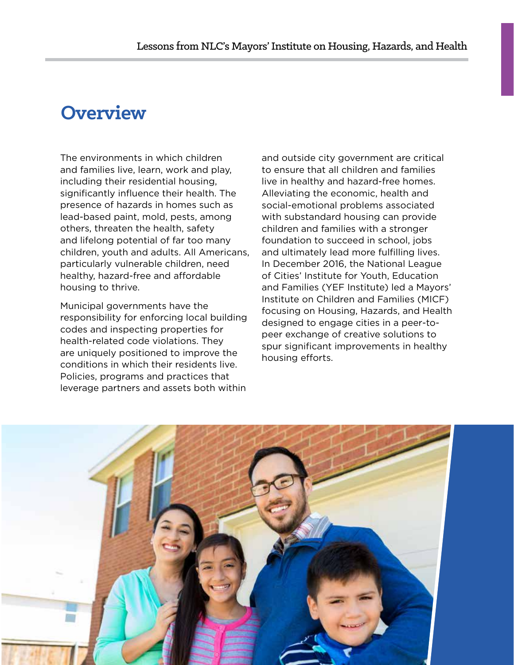## **Overview**

The environments in which children and families live, learn, work and play, including their residential housing, significantly influence their health. The presence of hazards in homes such as lead-based paint, mold, pests, among others, threaten the health, safety and lifelong potential of far too many children, youth and adults. All Americans, particularly vulnerable children, need healthy, hazard-free and affordable housing to thrive.

Municipal governments have the responsibility for enforcing local building codes and inspecting properties for health-related code violations. They are uniquely positioned to improve the conditions in which their residents live. Policies, programs and practices that leverage partners and assets both within and outside city government are critical to ensure that all children and families live in healthy and hazard-free homes. Alleviating the economic, health and social-emotional problems associated with substandard housing can provide children and families with a stronger foundation to succeed in school, jobs and ultimately lead more fulfilling lives. In December 2016, the National League of Cities' Institute for Youth, Education and Families (YEF Institute) led a Mayors' Institute on Children and Families (MICF) focusing on Housing, Hazards, and Health designed to engage cities in a peer-topeer exchange of creative solutions to spur significant improvements in healthy housing efforts.

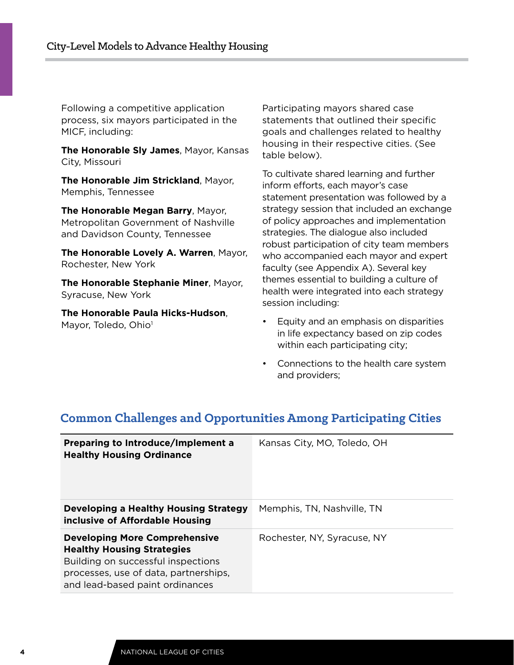Following a competitive application process, six mayors participated in the MICF, including:

**The Honorable Sly James**, Mayor, Kansas City, Missouri

**The Honorable Jim Strickland**, Mayor, Memphis, Tennessee

**The Honorable Megan Barry**, Mayor, Metropolitan Government of Nashville and Davidson County, Tennessee

**The Honorable Lovely A. Warren**, Mayor, Rochester, New York

**The Honorable Stephanie Miner**, Mayor, Syracuse, New York

**The Honorable Paula Hicks-Hudson**, Mayor, Toledo, Ohio<sup>1</sup>

Participating mayors shared case statements that outlined their specific goals and challenges related to healthy housing in their respective cities. (See table below).

To cultivate shared learning and further inform efforts, each mayor's case statement presentation was followed by a strategy session that included an exchange of policy approaches and implementation strategies. The dialogue also included robust participation of city team members who accompanied each mayor and expert faculty (see Appendix A). Several key themes essential to building a culture of health were integrated into each strategy session including:

- Equity and an emphasis on disparities in life expectancy based on zip codes within each participating city;
- Connections to the health care system and providers;

| Preparing to Introduce/Implement a<br><b>Healthy Housing Ordinance</b>                                                                                                                      | Kansas City, MO, Toledo, OH |
|---------------------------------------------------------------------------------------------------------------------------------------------------------------------------------------------|-----------------------------|
| <b>Developing a Healthy Housing Strategy</b><br>inclusive of Affordable Housing                                                                                                             | Memphis, TN, Nashville, TN  |
| <b>Developing More Comprehensive</b><br><b>Healthy Housing Strategies</b><br>Building on successful inspections<br>processes, use of data, partnerships,<br>and lead-based paint ordinances | Rochester, NY, Syracuse, NY |

## **Common Challenges and Opportunities Among Participating Cities**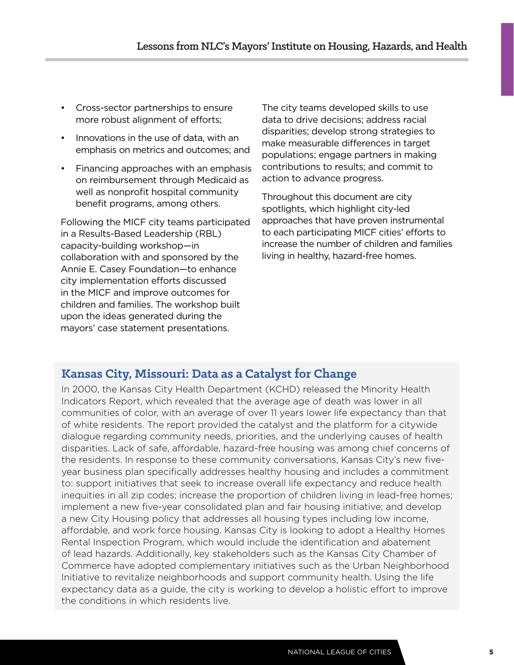- Cross-sector partnerships to ensure more robust alignment of efforts;
- Innovations in the use of data, with an emphasis on metrics and outcomes; and
- Financing approaches with an emphasis on reimbursement through Medicaid as well as nonprofit hospital community benefit programs, among others.

Following the MICF city teams participated in a Results-Based Leadership (RBL) capacity-building workshop—in collaboration with and sponsored by the Annie E. Casey Foundation—to enhance city implementation efforts discussed in the MICF and improve outcomes for children and families. The workshop built upon the ideas generated during the mayors' case statement presentations.

The city teams developed skills to use data to drive decisions; address racial disparities; develop strong strategies to make measurable differences in target populations; engage partners in making contributions to results; and commit to action to advance progress.

Throughout this document are city spotlights, which highlight city-led approaches that have proven instrumental to each participating MICF cities' efforts to increase the number of children and families living in healthy, hazard-free homes.

## **Kansas City, Missouri: Data as a Catalyst for Change**

In 2000, the Kansas City Health Department (KCHD) released the Minority Health Indicators Report, which revealed that the average age of death was lower in all communities of color, with an average of over 11 years lower life expectancy than that of white residents. The report provided the catalyst and the platform for a citywide dialogue regarding community needs, priorities, and the underlying causes of health disparities. Lack of safe, affordable, hazard-free housing was among chief concerns of the residents. In response to these community conversations, Kansas City's new fiveyear business plan specifically addresses healthy housing and includes a commitment to: support initiatives that seek to increase overall life expectancy and reduce health inequities in all zip codes; increase the proportion of children living in lead-free homes; implement a new five-year consolidated plan and fair housing initiative; and develop a new City Housing policy that addresses all housing types including low income, affordable, and work force housing. Kansas City is looking to adopt a Healthy Homes Rental Inspection Program, which would include the identification and abatement of lead hazards. Additionally, key stakeholders such as the Kansas City Chamber of Commerce have adopted complementary initiatives such as the Urban Neighborhood Initiative to revitalize neighborhoods and support community health. Using the life expectancy data as a guide, the city is working to develop a holistic effort to improve the conditions in which residents live.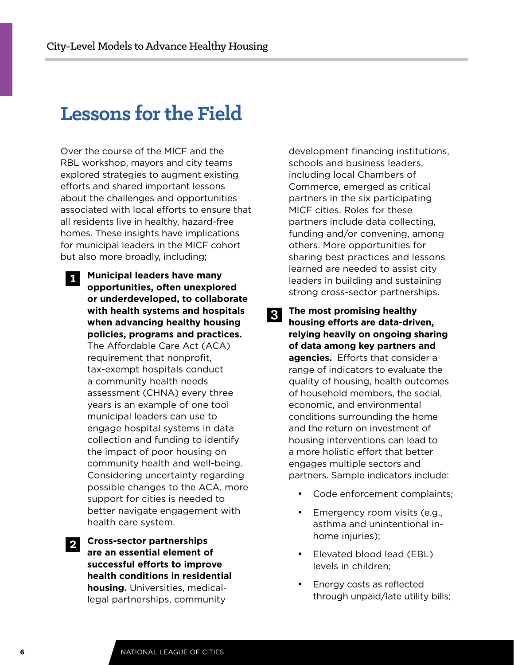# **Lessons for the Field**

Over the course of the MICF and the RBL workshop, mayors and city teams explored strategies to augment existing efforts and shared important lessons about the challenges and opportunities associated with local efforts to ensure that all residents live in healthy, hazard-free homes. These insights have implications for municipal leaders in the MICF cohort but also more broadly, including;

1. **Municipal leaders have many opportunities, often unexplored or underdeveloped, to collaborate with health systems and hospitals when advancing healthy housing policies, programs and practices.** The Affordable Care Act (ACA) requirement that nonprofit, tax-exempt hospitals conduct a community health needs assessment (CHNA) every three years is an example of one tool municipal leaders can use to engage hospital systems in data collection and funding to identify the impact of poor housing on community health and well-being. Considering uncertainty regarding possible changes to the ACA, more support for cities is needed to better navigate engagement with health care system. **1**

2. **Cross-sector partnerships are an essential element of successful efforts to improve health conditions in residential housing.** Universities, medicallegal partnerships, community **2**

development financing institutions, schools and business leaders, including local Chambers of Commerce, emerged as critical partners in the six participating MICF cities. Roles for these partners include data collecting, funding and/or convening, among others. More opportunities for sharing best practices and lessons learned are needed to assist city leaders in building and sustaining strong cross-sector partnerships.

- 3. **The most promising healthy housing efforts are data-driven, relying heavily on ongoing sharing of data among key partners and agencies.** Efforts that consider a range of indicators to evaluate the quality of housing, health outcomes of household members, the social, economic, and environmental conditions surrounding the home and the return on investment of housing interventions can lead to a more holistic effort that better engages multiple sectors and partners. Sample indicators include: **3**
	- Code enforcement complaints;
	- Emergency room visits (e.g., asthma and unintentional inhome injuries);
	- • Elevated blood lead (EBL) levels in children;
	- Energy costs as reflected through unpaid/late utility bills;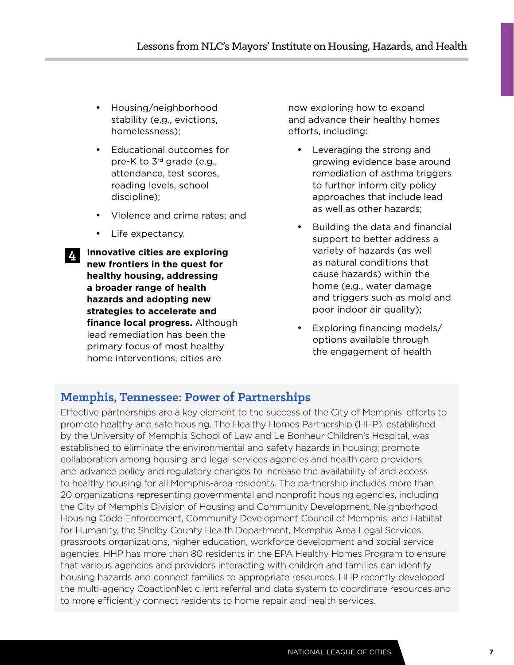- Housing/neighborhood stability (e.g., evictions, homelessness);
- • Educational outcomes for pre-K to 3rd grade (e.g., attendance, test scores, reading levels, school discipline);
- • Violence and crime rates; and
- Life expectancy.

**4**

4. **Innovative cities are exploring new frontiers in the quest for healthy housing, addressing a broader range of health hazards and adopting new strategies to accelerate and finance local progress.** Although lead remediation has been the primary focus of most healthy home interventions, cities are

now exploring how to expand and advance their healthy homes efforts, including:

- • Leveraging the strong and growing evidence base around remediation of asthma triggers to further inform city policy approaches that include lead as well as other hazards;
- • Building the data and financial support to better address a variety of hazards (as well as natural conditions that cause hazards) within the home (e.g., water damage and triggers such as mold and poor indoor air quality);
- Exploring financing models/ options available through the engagement of health

## **Memphis, Tennessee: Power of Partnerships**

Effective partnerships are a key element to the success of the City of Memphis' efforts to promote healthy and safe housing. The Healthy Homes Partnership (HHP), established by the University of Memphis School of Law and Le Bonheur Children's Hospital, was established to eliminate the environmental and safety hazards in housing; promote collaboration among housing and legal services agencies and health care providers; and advance policy and regulatory changes to increase the availability of and access to healthy housing for all Memphis-area residents. The partnership includes more than 20 organizations representing governmental and nonprofit housing agencies, including the City of Memphis Division of Housing and Community Development, Neighborhood Housing Code Enforcement, Community Development Council of Memphis, and Habitat for Humanity, the Shelby County Health Department, Memphis Area Legal Services, grassroots organizations, higher education, workforce development and social service agencies. HHP has more than 80 residents in the EPA Healthy Homes Program to ensure that various agencies and providers interacting with children and families can identify housing hazards and connect families to appropriate resources. HHP recently developed the multi-agency CoactionNet client referral and data system to coordinate resources and to more efficiently connect residents to home repair and health services.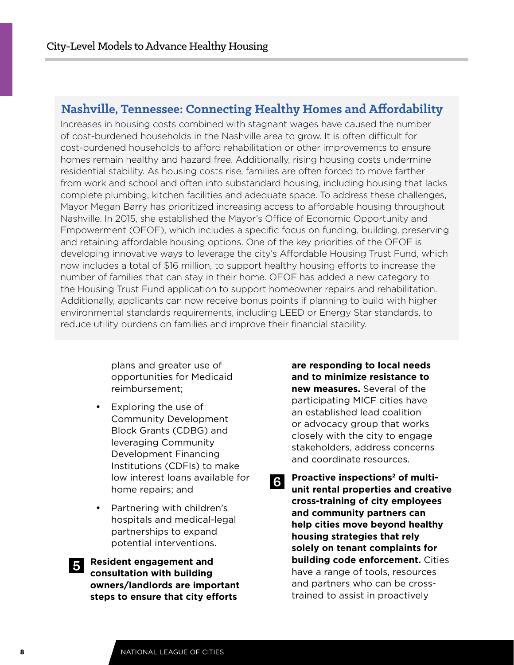## **Nashville, Tennessee: Connecting Healthy Homes and Affordability**

Increases in housing costs combined with stagnant wages have caused the number of cost-burdened households in the Nashville area to grow. It is often difficult for cost-burdened households to afford rehabilitation or other improvements to ensure homes remain healthy and hazard free. Additionally, rising housing costs undermine residential stability. As housing costs rise, families are often forced to move farther from work and school and often into substandard housing, including housing that lacks complete plumbing, kitchen facilities and adequate space. To address these challenges, Mayor Megan Barry has prioritized increasing access to affordable housing throughout Nashville. In 2015, she established the Mayor's Office of Economic Opportunity and Empowerment (OEOE), which includes a specific focus on funding, building, preserving and retaining affordable housing options. One of the key priorities of the OEOE is developing innovative ways to leverage the city's Affordable Housing Trust Fund, which now includes a total of \$16 million, to support healthy housing efforts to increase the number of families that can stay in their home. OEOF has added a new category to the Housing Trust Fund application to support homeowner repairs and rehabilitation. Additionally, applicants can now receive bonus points if planning to build with higher environmental standards requirements, including LEED or Energy Star standards, to reduce utility burdens on families and improve their financial stability.

> plans and greater use of opportunities for Medicaid reimbursement;

- Exploring the use of Community Development Block Grants (CDBG) and leveraging Community Development Financing Institutions (CDFIs) to make low interest loans available for home repairs; and
- Partnering with children's hospitals and medical-legal partnerships to expand potential interventions.

5. **Resident engagement and consultation with building owners/landlords are important steps to ensure that city efforts 5**

**are responding to local needs and to minimize resistance to new measures.** Several of the participating MICF cities have an established lead coalition or advocacy group that works closely with the city to engage stakeholders, address concerns and coordinate resources.

Proactive inspections<sup>2</sup> of multi**unit rental properties and creative cross-training of city employees and community partners can help cities move beyond healthy housing strategies that rely solely on tenant complaints for building code enforcement.** Cities have a range of tools, resources and partners who can be crosstrained to assist in proactively **6**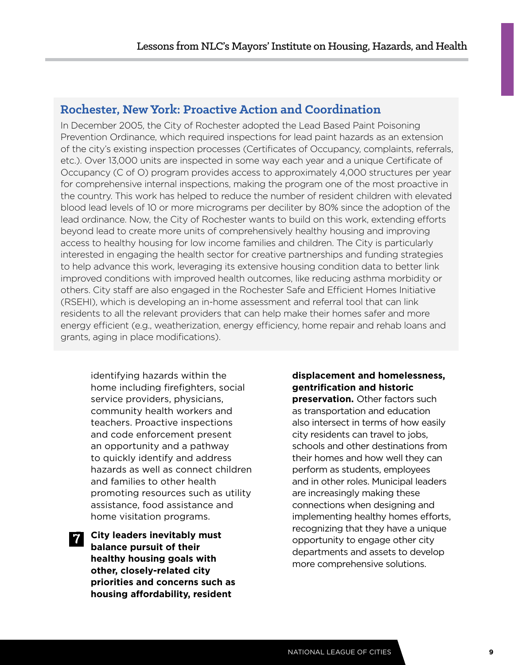## **Rochester, New York: Proactive Action and Coordination**

In December 2005, the City of Rochester adopted the Lead Based Paint Poisoning Prevention Ordinance, which required inspections for lead paint hazards as an extension of the city's existing inspection processes (Certificates of Occupancy, complaints, referrals, etc.). Over 13,000 units are inspected in some way each year and a unique Certificate of Occupancy (C of O) program provides access to approximately 4,000 structures per year for comprehensive internal inspections, making the program one of the most proactive in the country. This work has helped to reduce the number of resident children with elevated blood lead levels of 10 or more micrograms per deciliter by 80% since the adoption of the lead ordinance. Now, the City of Rochester wants to build on this work, extending efforts beyond lead to create more units of comprehensively healthy housing and improving access to healthy housing for low income families and children. The City is particularly interested in engaging the health sector for creative partnerships and funding strategies to help advance this work, leveraging its extensive housing condition data to better link improved conditions with improved health outcomes, like reducing asthma morbidity or others. City staff are also engaged in the Rochester Safe and Efficient Homes Initiative (RSEHI), which is developing an in-home assessment and referral tool that can link residents to all the relevant providers that can help make their homes safer and more energy efficient (e.g., weatherization, energy efficiency, home repair and rehab loans and grants, aging in place modifications).

identifying hazards within the home including firefighters, social service providers, physicians, community health workers and teachers. Proactive inspections and code enforcement present an opportunity and a pathway to quickly identify and address hazards as well as connect children and families to other health promoting resources such as utility assistance, food assistance and home visitation programs.

7. **City leaders inevitably must balance pursuit of their healthy housing goals with other, closely-related city priorities and concerns such as housing affordability, resident 7**

**displacement and homelessness, gentrification and historic preservation.** Other factors such as transportation and education also intersect in terms of how easily city residents can travel to jobs, schools and other destinations from their homes and how well they can perform as students, employees and in other roles. Municipal leaders are increasingly making these connections when designing and implementing healthy homes efforts, recognizing that they have a unique opportunity to engage other city departments and assets to develop more comprehensive solutions.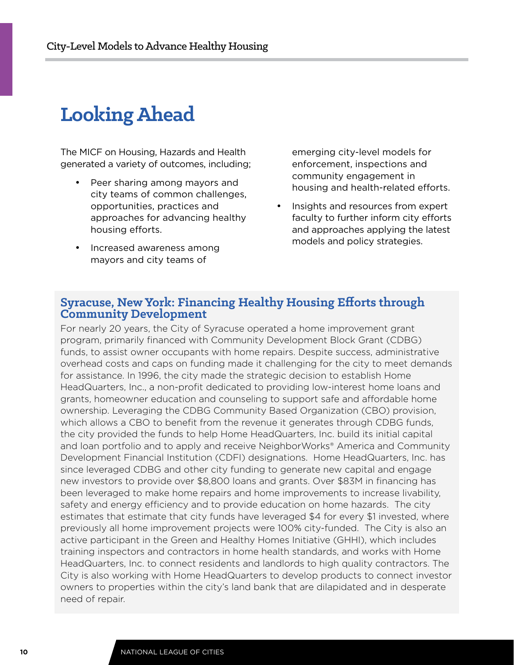# **Looking Ahead**

The MICF on Housing, Hazards and Health generated a variety of outcomes, including;

- Peer sharing among mayors and city teams of common challenges, opportunities, practices and approaches for advancing healthy housing efforts.
- Increased awareness among mayors and city teams of

emerging city-level models for enforcement, inspections and community engagement in housing and health-related efforts.

Insights and resources from expert faculty to further inform city efforts and approaches applying the latest models and policy strategies.

### **Syracuse, New York: Financing Healthy Housing Efforts through Community Development**

For nearly 20 years, the City of Syracuse operated a home improvement grant program, primarily financed with Community Development Block Grant (CDBG) funds, to assist owner occupants with home repairs. Despite success, administrative overhead costs and caps on funding made it challenging for the city to meet demands for assistance. In 1996, the city made the strategic decision to establish Home HeadQuarters, Inc., a non-profit dedicated to providing low-interest home loans and grants, homeowner education and counseling to support safe and affordable home ownership. Leveraging the CDBG Community Based Organization (CBO) provision, which allows a CBO to benefit from the revenue it generates through CDBG funds, the city provided the funds to help Home HeadQuarters, Inc. build its initial capital and loan portfolio and to apply and receive NeighborWorks® America and Community Development Financial Institution (CDFI) designations. Home HeadQuarters, Inc. has since leveraged CDBG and other city funding to generate new capital and engage new investors to provide over \$8,800 loans and grants. Over \$83M in financing has been leveraged to make home repairs and home improvements to increase livability, safety and energy efficiency and to provide education on home hazards. The city estimates that estimate that city funds have leveraged \$4 for every \$1 invested, where previously all home improvement projects were 100% city-funded. The City is also an active participant in the Green and Healthy Homes Initiative (GHHI), which includes training inspectors and contractors in home health standards, and works with Home HeadQuarters, Inc. to connect residents and landlords to high quality contractors. The City is also working with Home HeadQuarters to develop products to connect investor owners to properties within the city's land bank that are dilapidated and in desperate need of repair.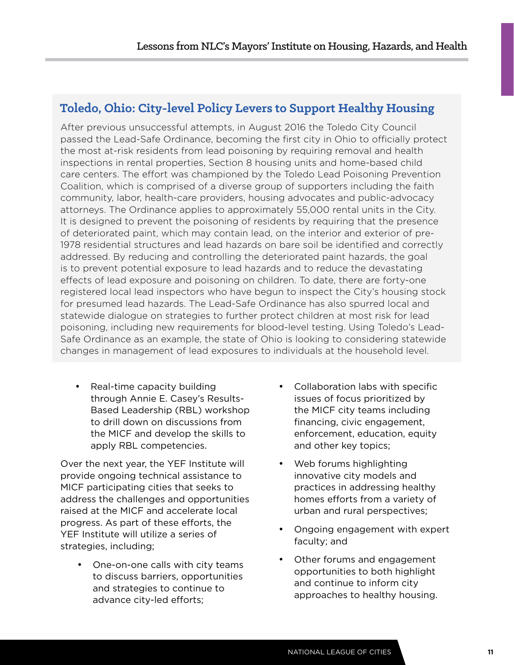## **Toledo, Ohio: City-level Policy Levers to Support Healthy Housing**

After previous unsuccessful attempts, in August 2016 the Toledo City Council passed the Lead-Safe Ordinance, becoming the first city in Ohio to officially protect the most at-risk residents from lead poisoning by requiring removal and health inspections in rental properties, Section 8 housing units and home-based child care centers. The effort was championed by the Toledo Lead Poisoning Prevention Coalition, which is comprised of a diverse group of supporters including the faith community, labor, health-care providers, housing advocates and public-advocacy attorneys. The Ordinance applies to approximately 55,000 rental units in the City. It is designed to prevent the poisoning of residents by requiring that the presence of deteriorated paint, which may contain lead, on the interior and exterior of pre-1978 residential structures and lead hazards on bare soil be identified and correctly addressed. By reducing and controlling the deteriorated paint hazards, the goal is to prevent potential exposure to lead hazards and to reduce the devastating effects of lead exposure and poisoning on children. To date, there are forty-one registered local lead inspectors who have begun to inspect the City's housing stock for presumed lead hazards. The Lead-Safe Ordinance has also spurred local and statewide dialogue on strategies to further protect children at most risk for lead poisoning, including new requirements for blood-level testing. Using Toledo's Lead-Safe Ordinance as an example, the state of Ohio is looking to considering statewide changes in management of lead exposures to individuals at the household level.

• Real-time capacity building through Annie E. Casey's Results-Based Leadership (RBL) workshop to drill down on discussions from the MICF and develop the skills to apply RBL competencies.

Over the next year, the YEF Institute will provide ongoing technical assistance to MICF participating cities that seeks to address the challenges and opportunities raised at the MICF and accelerate local progress. As part of these efforts, the YEF Institute will utilize a series of strategies, including;

One-on-one calls with city teams to discuss barriers, opportunities and strategies to continue to advance city-led efforts;

- Collaboration labs with specific issues of focus prioritized by the MICF city teams including financing, civic engagement, enforcement, education, equity and other key topics;
- Web forums highlighting innovative city models and practices in addressing healthy homes efforts from a variety of urban and rural perspectives;
- • Ongoing engagement with expert faculty; and
- Other forums and engagement opportunities to both highlight and continue to inform city approaches to healthy housing.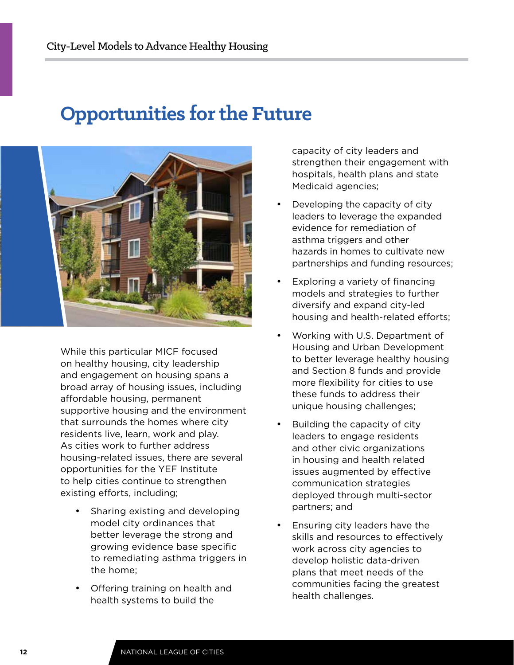## **Opportunities for the Future**



While this particular MICF focused on healthy housing, city leadership and engagement on housing spans a broad array of housing issues, including affordable housing, permanent supportive housing and the environment that surrounds the homes where city residents live, learn, work and play. As cities work to further address housing-related issues, there are several opportunities for the YEF Institute to help cities continue to strengthen existing efforts, including;

- Sharing existing and developing model city ordinances that better leverage the strong and growing evidence base specific to remediating asthma triggers in the home;
- **Offering training on health and** health systems to build the

capacity of city leaders and strengthen their engagement with hospitals, health plans and state Medicaid agencies;

- Developing the capacity of city leaders to leverage the expanded evidence for remediation of asthma triggers and other hazards in homes to cultivate new partnerships and funding resources;
- Exploring a variety of financing models and strategies to further diversify and expand city-led housing and health-related efforts;
- • Working with U.S. Department of Housing and Urban Development to better leverage healthy housing and Section 8 funds and provide more flexibility for cities to use these funds to address their unique housing challenges;
- Building the capacity of city leaders to engage residents and other civic organizations in housing and health related issues augmented by effective communication strategies deployed through multi-sector partners; and
- Ensuring city leaders have the skills and resources to effectively work across city agencies to develop holistic data-driven plans that meet needs of the communities facing the greatest health challenges.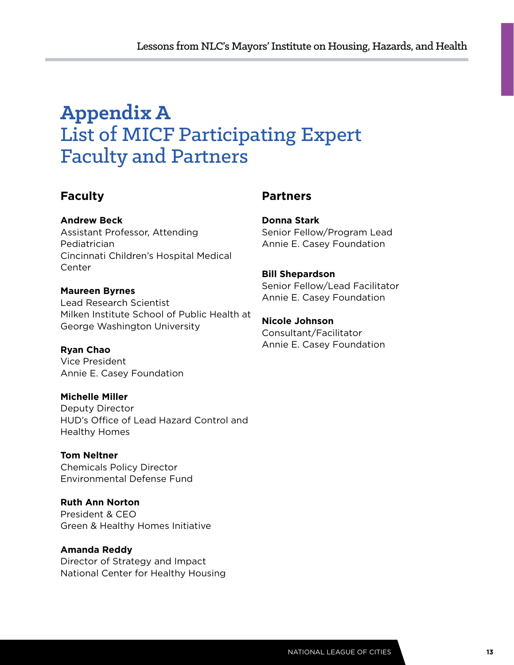# **Appendix A**  List of MICF Participating Expert Faculty and Partners

## **Faculty**

**Andrew Beck**

Assistant Professor, Attending Pediatrician Cincinnati Children's Hospital Medical Center

**Maureen Byrnes**

Lead Research Scientist Milken Institute School of Public Health at George Washington University

**Ryan Chao** Vice President Annie E. Casey Foundation

**Michelle Miller** Deputy Director HUD's Office of Lead Hazard Control and Healthy Homes

**Tom Neltner** Chemicals Policy Director Environmental Defense Fund

**Ruth Ann Norton** President & CEO Green & Healthy Homes Initiative

**Amanda Reddy** Director of Strategy and Impact National Center for Healthy Housing

## **Partners**

**Donna Stark** Senior Fellow/Program Lead Annie E. Casey Foundation

**Bill Shepardson** Senior Fellow/Lead Facilitator Annie E. Casey Foundation

**Nicole Johnson** Consultant/Facilitator Annie E. Casey Foundation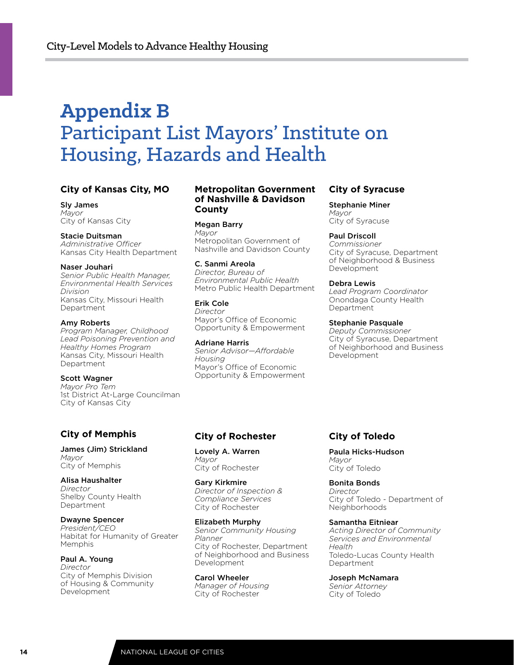# **Appendix B** Participant List Mayors' Institute on Housing, Hazards and Health

### **City of Kansas City, MO**

Sly James *Mayor* City of Kansas City

Stacie Duitsman *Administrative Officer* Kansas City Health Department

Naser Jouhari *Senior Public Health Manager, Environmental Health Services Division* Kansas City, Missouri Health Department

Amy Roberts *Program Manager, Childhood Lead Poisoning Prevention and Healthy Homes Program* Kansas City, Missouri Health Department

Scott Wagner *Mayor Pro Tem* 1st District At-Large Councilman City of Kansas City

### **City of Memphis**

James (Jim) Strickland *Mayor* City of Memphis

Alisa Haushalter *Director* Shelby County Health Department

Dwayne Spencer *President/CEO* Habitat for Humanity of Greater Memphis

Paul A. Young *Director* City of Memphis Division of Housing & Community Development

### **Metropolitan Government of Nashville & Davidson County**

Megan Barry *Mayor* Metropolitan Government of Nashville and Davidson County

C. Sanmi Areola *Director, Bureau of Environmental Public Health* Metro Public Health Department

Erik Cole *Director* Mayor's Office of Economic Opportunity & Empowerment

Adriane Harris *Senior Advisor—Affordable Housing* Mayor's Office of Economic Opportunity & Empowerment

### **City of Syracuse**

Stephanie Miner *Mayor* City of Syracuse

Paul Driscoll

*Commissioner* City of Syracuse, Department of Neighborhood & Business Development

#### Debra Lewis

*Lead Program Coordinator* Onondaga County Health Department

#### Stephanie Pasquale

*Deputy Commissioner* City of Syracuse, Department of Neighborhood and Business Development

### **City of Rochester**

Lovely A. Warren *Mayor* City of Rochester

Gary Kirkmire *Director of Inspection & Compliance Services* City of Rochester

Elizabeth Murphy *Senior Community Housing Planner* City of Rochester, Department of Neighborhood and Business Development

Carol Wheeler *Manager of Housing* City of Rochester

### **City of Toledo**

Paula Hicks-Hudson *Mayor* City of Toledo

Bonita Bonds *Director* City of Toledo - Department of Neighborhoods

Samantha Eitniear

*Acting Director of Community Services and Environmental Health* Toledo-Lucas County Health Department

Joseph McNamara *Senior Attorney* City of Toledo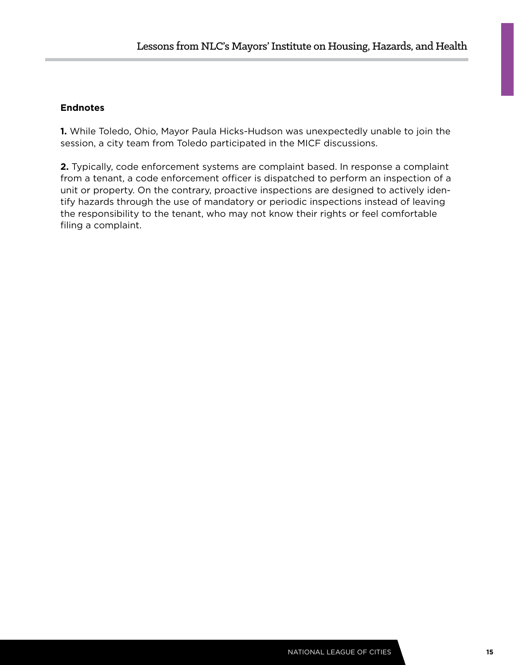### **Endnotes**

**1.** While Toledo, Ohio, Mayor Paula Hicks-Hudson was unexpectedly unable to join the session, a city team from Toledo participated in the MICF discussions.

**2.** Typically, code enforcement systems are complaint based. In response a complaint from a tenant, a code enforcement officer is dispatched to perform an inspection of a unit or property. On the contrary, proactive inspections are designed to actively identify hazards through the use of mandatory or periodic inspections instead of leaving the responsibility to the tenant, who may not know their rights or feel comfortable filing a complaint.